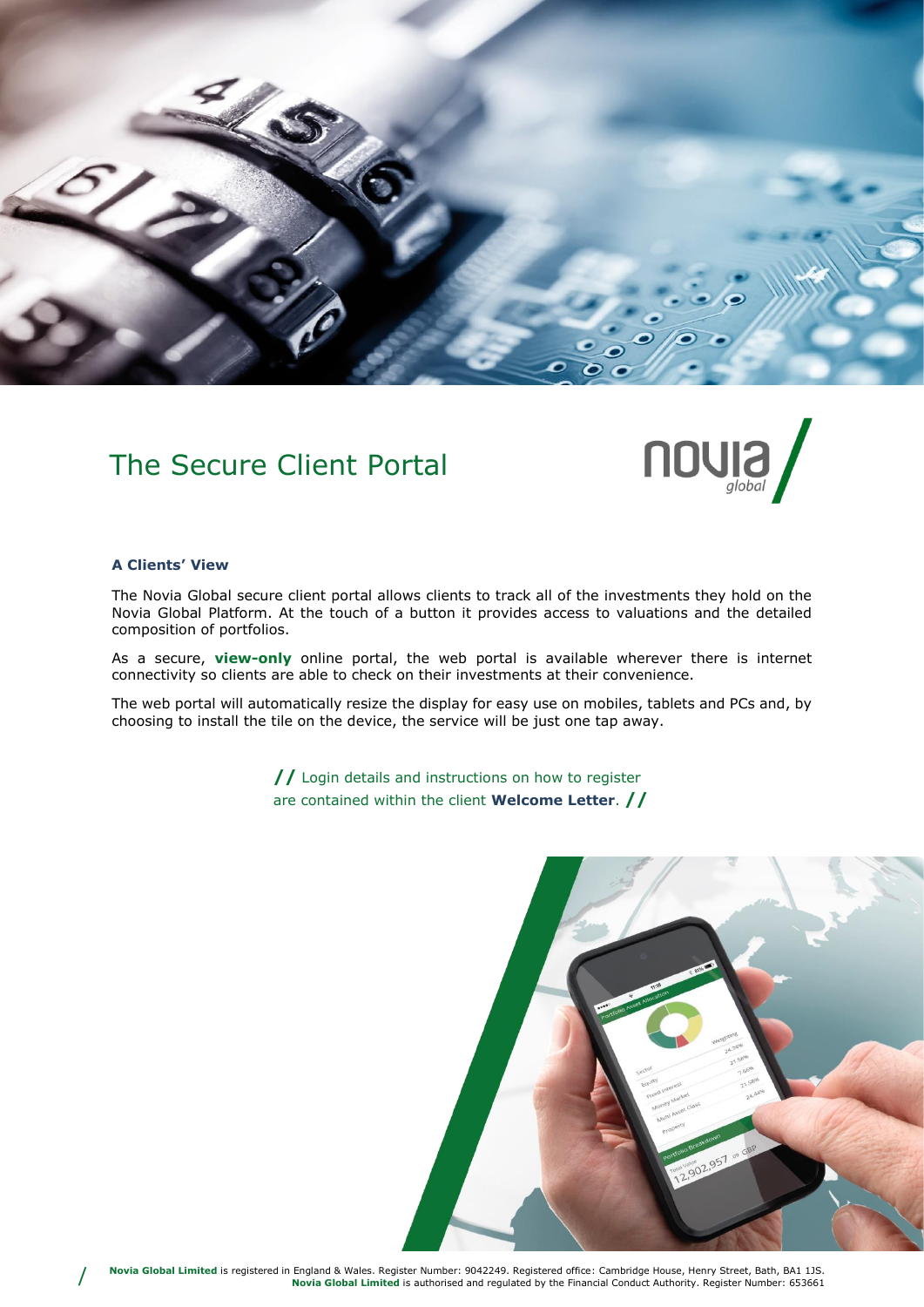

# The Secure Client Portal



#### **A Clients' View**

/

The Novia Global secure client portal allows clients to track all of the investments they hold on the Novia Global Platform. At the touch of a button it provides access to valuations and the detailed composition of portfolios.

As a secure, **view-only** online portal, the web portal is available wherever there is internet connectivity so clients are able to check on their investments at their convenience.

The web portal will automatically resize the display for easy use on mobiles, tablets and PCs and, by choosing to install the tile on the device, the service will be just one tap away.

> **//** Login details and instructions on how to register are contained within the client **Welcome Letter**. **//**

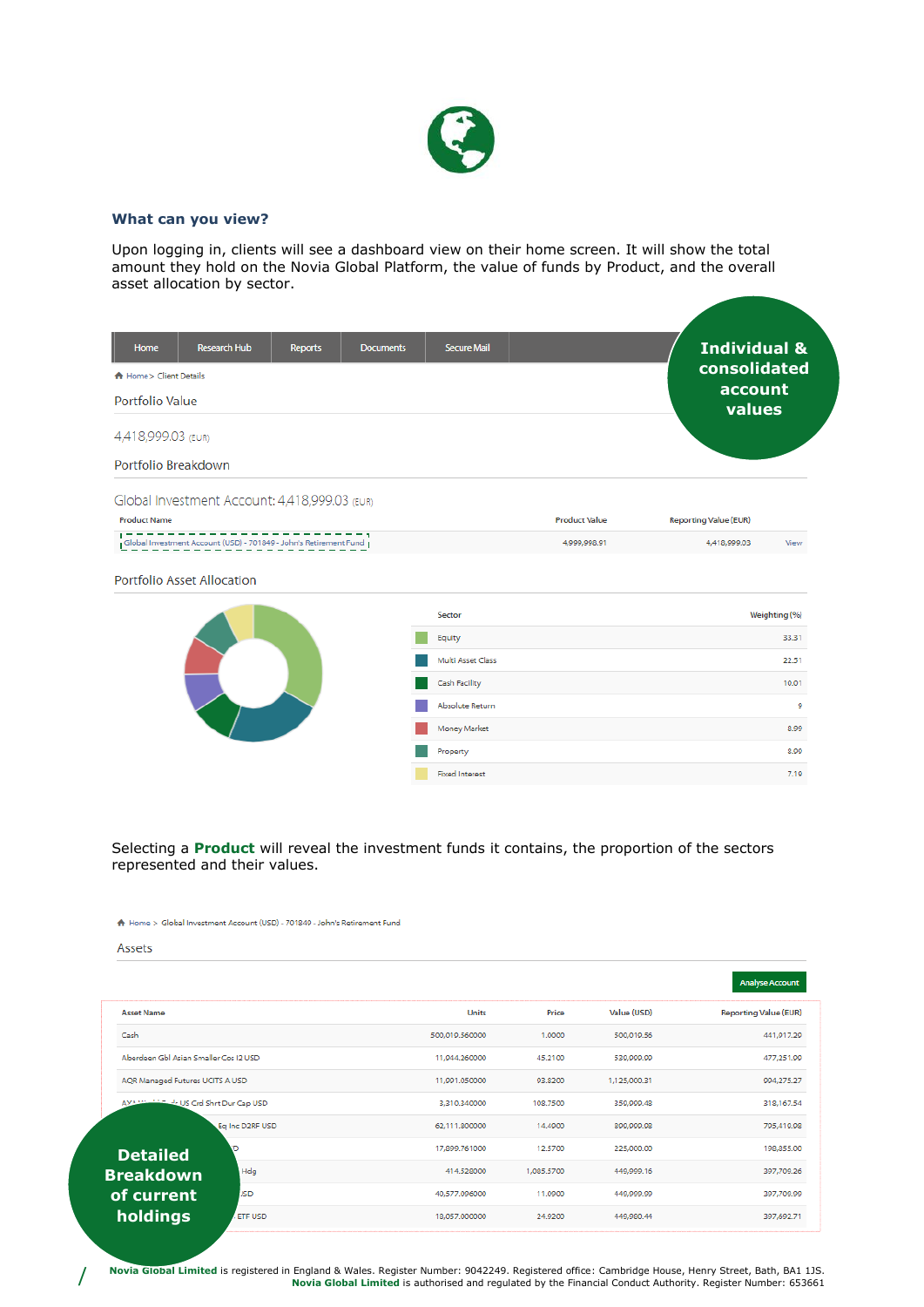

# **What can you view?**

Upon logging in, clients will see a dashboard view on their home screen. It will show the total amount they hold on the Novia Global Platform, the value of funds by Product, and the overall asset allocation by sector.

| Home<br><b>A</b> Home > Client Details | <b>Research Hub</b>                           | <b>Reports</b> | <b>Documents</b> | <b>Secure Mail</b> |                      | <b>Individual &amp;</b><br>consolidated<br>account |               |
|----------------------------------------|-----------------------------------------------|----------------|------------------|--------------------|----------------------|----------------------------------------------------|---------------|
| Portfolio Value                        |                                               |                |                  |                    |                      | values                                             |               |
| 4,418,999.03 (EUR)                     |                                               |                |                  |                    |                      |                                                    |               |
| Portfolio Breakdown                    |                                               |                |                  |                    |                      |                                                    |               |
|                                        | Global Investment Account: 4,418,999.03 (EUR) |                |                  |                    |                      |                                                    |               |
| <b>Product Name</b>                    |                                               |                |                  |                    | <b>Product Value</b> | <b>Reporting Value (EUR)</b>                       |               |
|                                        |                                               |                |                  |                    | 4.999,998.91         | 4,418,999.03                                       | View          |
|                                        | <b>Portfolio Asset Allocation</b>             |                |                  |                    |                      |                                                    |               |
|                                        |                                               |                |                  | Sector             |                      |                                                    | Weighting (%) |
|                                        |                                               |                |                  | Equity             |                      |                                                    | 33.31         |
|                                        |                                               |                |                  | Multi Asset Class  |                      |                                                    | 22.51         |
|                                        |                                               |                |                  | Cash Facility      |                      |                                                    | 10.01         |
|                                        |                                               |                |                  | Absolute Return    |                      |                                                    | 9             |
|                                        |                                               |                |                  | Money Market       |                      |                                                    | 8.99          |
|                                        |                                               |                |                  | Property           |                      |                                                    | 8.99          |

### Selecting a **Product** will reveal the investment funds it contains, the proportion of the sectors represented and their values.

**Fixed Interest** 

7.19

#### A Home > Global Investment Account (USD) - 701849 - John's Retirement Fund

Assets

/

|                                        |                 |                |            |              | <b>Analyse Account</b>       |
|----------------------------------------|-----------------|----------------|------------|--------------|------------------------------|
| <b>Asset Name</b>                      |                 | <b>Units</b>   | Price      | Value (USD)  | <b>Reporting Value (EUR)</b> |
| Cash                                   |                 | 500,019.560000 | 1.0000     | 500,019.56   | 441,917.29                   |
| Aberdeen Gbl Asian Smaller Cos I2 USD  |                 | 11.944.260000  | 45.2100    | 539,999.99   | 477,251.99                   |
| AQR Managed Futures UCITS A USD        |                 | 11,991,050000  | 93,8200    | 1,125,000.31 | 994,275.27                   |
| AXA WALLIED de US Crd Shrt Dur Cap USD |                 | 3.310.340000   | 108,7500   | 359,999.48   | 318,167.54                   |
|                                        | Ea Inc D2RF USD | 62.111.800000  | 14,4900    | 899,999.98   | 795,419.98                   |
| <b>Detailed</b>                        | n               | 17,899.761000  | 12.5700    | 225,000.00   | 198,855.00                   |
| <b>Breakdown</b>                       | Hdg             | 414.528000     | 1,085.5700 | 449,999.16   | 397,709.26                   |
| of current                             | <b>JSD</b>      | 40,577.096000  | 11.0900    | 449,999.99   | 397,709.99                   |
| holdings                               | <b>ETF USD</b>  | 18,057.000000  | 24.9200    | 449,980.44   | 397,692.71                   |
|                                        |                 |                |            |              |                              |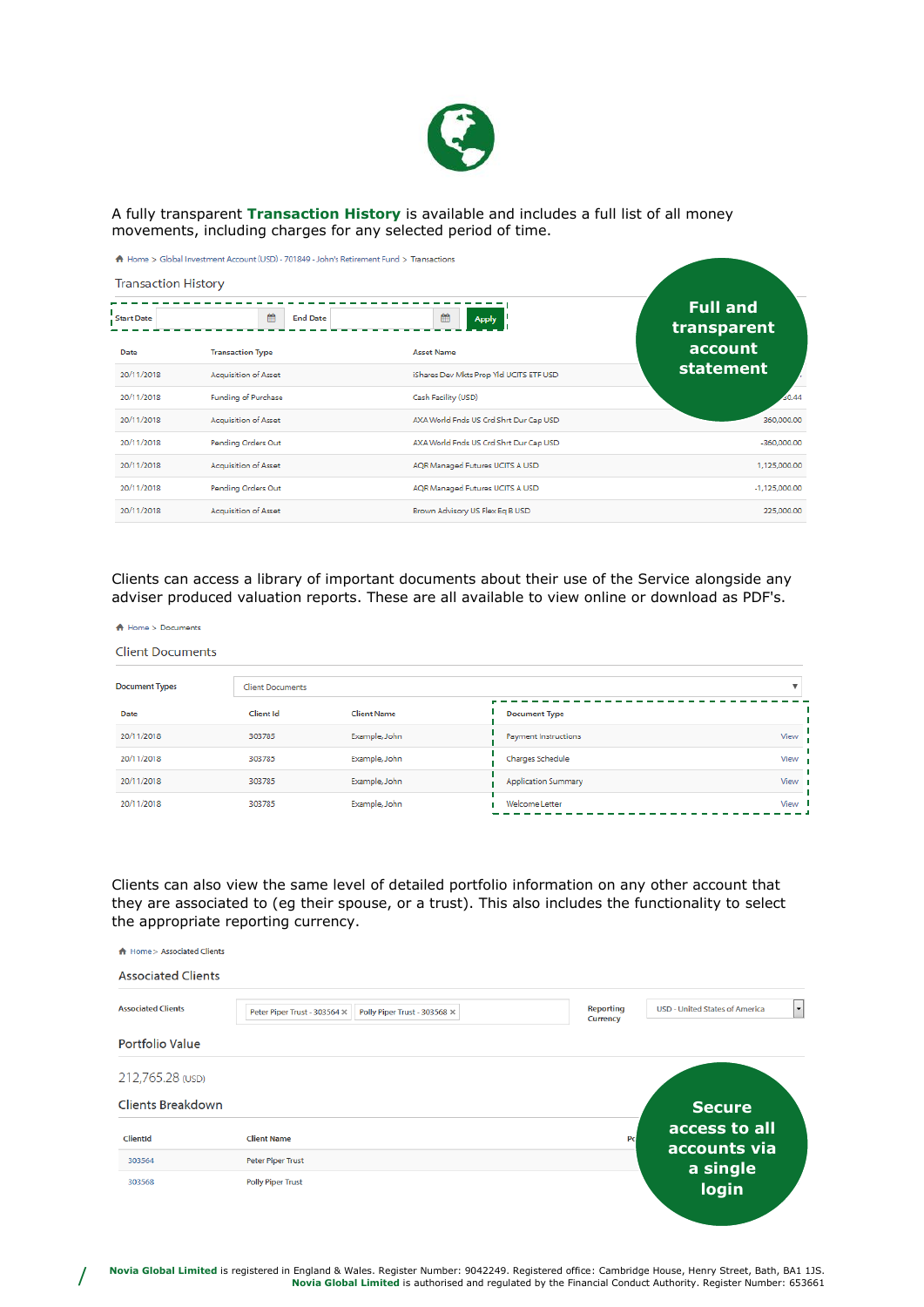

A fully transparent **Transaction History** is available and includes a full list of all money movements, including charges for any selected period of time.

| <b>Transaction History</b> | ← Home > Global Investment Account (USD) - 701849 - John's Retirement Fund > Transactions |                                         |                                |
|----------------------------|-------------------------------------------------------------------------------------------|-----------------------------------------|--------------------------------|
| <b>Start Date</b>          | 鱛<br><b>End Date</b>                                                                      | 飴<br><b>Apply</b>                       | <b>Full and</b><br>transparent |
| Date                       | <b>Transaction Type</b>                                                                   | <b>Asset Name</b>                       | account                        |
| 20/11/2018                 | <b>Acquisition of Asset</b>                                                               | iShares Dev Mkts Prop Yld UCITS ETF USD | statement                      |
| 20/11/2018                 | <b>Funding of Purchase</b>                                                                | Cash Facility (USD)                     | 0.44                           |
| 20/11/2018                 | <b>Acquisition of Asset</b>                                                               | AXA World Fnds US Crd Shrt Dur Cap USD  | 360,000.00                     |
| 20/11/2018                 | Pending Orders Out                                                                        | AXA World Fnds US Crd Shrt Dur Cap USD  | $-360,000,00$                  |
| 20/11/2018                 | Acquisition of Asset                                                                      | AQR Managed Futures UCITS A USD         | 1,125,000.00                   |
| 20/11/2018                 | Pending Orders Out                                                                        | AQR Managed Futures UCITS A USD         | $-1,125,000.00$                |
| 20/11/2018                 | <b>Acquisition of Asset</b>                                                               | Brown Advisory US Flex Eq B USD         | 225,000.00                     |

Clients can access a library of important documents about their use of the Service alongside any adviser produced valuation reports. These are all available to view online or download as PDF's.

| <b>Client Documents</b> |                         |                    |                            |      |
|-------------------------|-------------------------|--------------------|----------------------------|------|
| <b>Document Types</b>   | <b>Client Documents</b> |                    |                            |      |
| Date                    | Client Id               | <b>Client Name</b> | <b>Document Type</b>       |      |
| 20/11/2018              | 303785                  | Example, John      | Payment Instructions       | View |
| 20/11/2018              | 303785                  | Example, John      | Charges Schedule           | View |
| 20/11/2018              | 303785                  | Example, John      | <b>Application Summary</b> | View |
| 20/11/2018              | 303785                  | Example, John      | Welcome Letter             | View |

Clients can also view the same level of detailed portfolio information on any other account that they are associated to (eg their spouse, or a trust). This also includes the functionality to select the appropriate reporting currency.

| A Home > Associated Clients |                              |                              |                                     |                                                       |
|-----------------------------|------------------------------|------------------------------|-------------------------------------|-------------------------------------------------------|
| <b>Associated Clients</b>   |                              |                              |                                     |                                                       |
| <b>Associated Clients</b>   | Peter Piper Trust - 303564 X | Polly Piper Trust - 303568 X | <b>Reporting</b><br><b>Currency</b> | $\mathbf{r}$<br><b>USD - United States of America</b> |
| <b>Portfolio Value</b>      |                              |                              |                                     |                                                       |
| 212,765.28 (USD)            |                              |                              |                                     |                                                       |
| <b>Clients Breakdown</b>    |                              |                              |                                     | <b>Secure</b>                                         |
| ClientId                    | <b>Client Name</b>           |                              | Po                                  | access to all<br>accounts via                         |
| 303564                      | <b>Peter Piper Trust</b>     |                              |                                     | a single                                              |
| 303568                      | <b>Polly Piper Trust</b>     |                              |                                     | login                                                 |

/

A Home > Documents